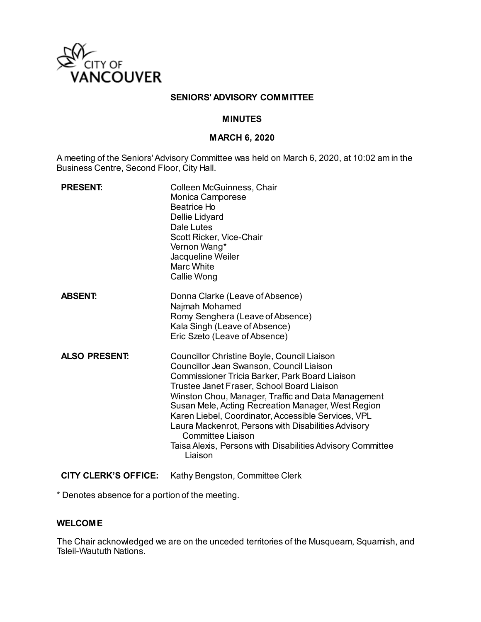

### **SENIORS' ADVISORY COMMITTEE**

### **MINUTES**

#### **MARCH 6, 2020**

A meeting of the Seniors' Advisory Committee was held on March 6, 2020, at 10:02 am in the Business Centre, Second Floor, City Hall.

| <b>PRESENT:</b>      | Colleen McGuinness, Chair<br>Monica Camporese<br><b>Beatrice Ho</b><br>Dellie Lidyard<br>Dale Lutes<br>Scott Ricker, Vice-Chair<br>Vernon Wang*<br>Jacqueline Weiler<br>Marc White<br>Callie Wong                                                                                                                                                                                                                                                                                                                      |
|----------------------|------------------------------------------------------------------------------------------------------------------------------------------------------------------------------------------------------------------------------------------------------------------------------------------------------------------------------------------------------------------------------------------------------------------------------------------------------------------------------------------------------------------------|
| <b>ABSENT:</b>       | Donna Clarke (Leave of Absence)<br>Najmah Mohamed<br>Romy Senghera (Leave of Absence)<br>Kala Singh (Leave of Absence)<br>Eric Szeto (Leave of Absence)                                                                                                                                                                                                                                                                                                                                                                |
| <b>ALSO PRESENT:</b> | Councillor Christine Boyle, Council Liaison<br>Councillor Jean Swanson, Council Liaison<br>Commissioner Tricia Barker, Park Board Liaison<br>Trustee Janet Fraser, School Board Liaison<br>Winston Chou, Manager, Traffic and Data Management<br>Susan Mele, Acting Recreation Manager, West Region<br>Karen Liebel, Coordinator, Accessible Services, VPL<br>Laura Mackenrot, Persons with Disabilities Advisory<br><b>Committee Liaison</b><br>Taisa Alexis, Persons with Disabilities Advisory Committee<br>Liaison |

**CITY CLERK'S OFFICE:** Kathy Bengston, Committee Clerk

\* Denotes absence for a portion of the meeting.

### **WELCOME**

The Chair acknowledged we are on the unceded territories of the Musqueam, Squamish, and Tsleil-Waututh Nations.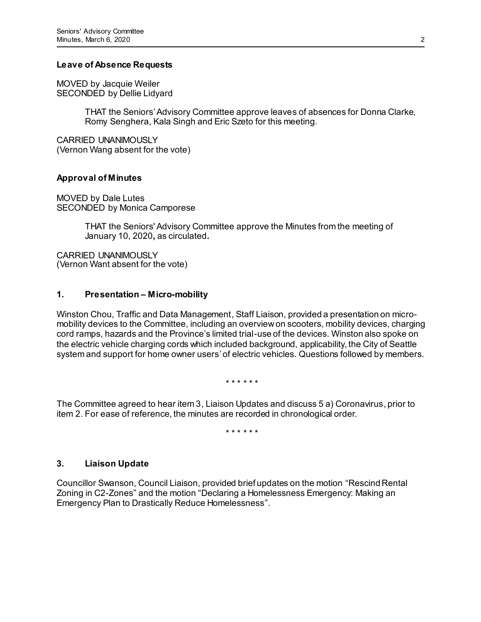### **Leave of Absence Requests**

MOVED by Jacquie Weiler SECONDED by Dellie Lidyard

> THAT the Seniors' Advisory Committee approve leaves of absences for Donna Clarke, Romy Senghera, Kala Singh and Eric Szeto for this meeting.

CARRIED UNANIMOUSLY (Vernon Wang absent for the vote)

## **Approval of Minutes**

MOVED by Dale Lutes SECONDED by Monica Camporese

> THAT the Seniors' Advisory Committee approve the Minutes from the meeting of January 10, 2020**,** as circulated**.**

CARRIED UNANIMOUSLY (Vernon Want absent for the vote)

### **1. Presentation – Micro-mobility**

Winston Chou, Traffic and Data Management, Staff Liaison, provided a presentation on micromobility devices to the Committee, including an overview on scooters, mobility devices, charging cord ramps, hazards and the Province's limited trial-use of the devices. Winston also spoke on the electric vehicle charging cords which included background, applicability, the City of Seattle system and support for home owner users' of electric vehicles. Questions followed by members.

\* \* \* \* \* \*

The Committee agreed to hear item 3, Liaison Updates and discuss 5 a) Coronavirus, prior to item 2. For ease of reference, the minutes are recorded in chronological order.

\* \* \* \* \* \*

### **3. Liaison Update**

Councillor Swanson, Council Liaison, provided brief updates on the motion "Rescind Rental Zoning in C2-Zones" and the motion "Declaring a Homelessness Emergency: Making an Emergency Plan to Drastically Reduce Homelessness".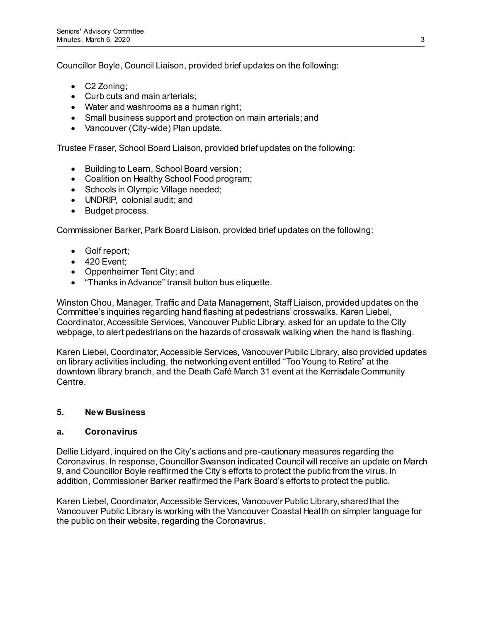Councillor Boyle, Council Liaison, provided brief updates on the following:

- C2 Zoning;
- Curb cuts and main arterials;
- Water and washrooms as a human right;
- Small business support and protection on main arterials; and
- Vancouver (City-wide) Plan update.

Trustee Fraser, School Board Liaison, provided brief updates on the following:

- Building to Learn, School Board version;
- Coalition on Healthy School Food program;
- Schools in Olympic Village needed;
- UNDRIP, colonial audit; and
- Budget process.

Commissioner Barker, Park Board Liaison, provided brief updates on the following:

- Golf report;
- 420 Event;
- Oppenheimer Tent City; and
- "Thanks in Advance" transit button bus etiquette.

Winston Chou, Manager, Traffic and Data Management, Staff Liaison, provided updates on the Committee's inquiries regarding hand flashing at pedestrians' crosswalks. Karen Liebel, Coordinator, Accessible Services, Vancouver Public Library, asked for an update to the City webpage, to alert pedestrians on the hazards of crosswalk walking when the hand is flashing.

Karen Liebel, Coordinator, Accessible Services, Vancouver Public Library, also provided updates on library activities including, the networking event entitled "Too Young to Retire" at the downtown library branch, and the Death Café March 31 event at the Kerrisdale Community Centre.

## **5. New Business**

### **a. Coronavirus**

Dellie Lidyard, inquired on the City's actions and pre-cautionary measures regarding the Coronavirus. In response, Councillor Swanson indicated Council will receive an update on March 9, and Councillor Boyle reaffirmed the City's efforts to protect the public from the virus. In addition, Commissioner Barker reaffirmed the Park Board's efforts to protect the public.

Karen Liebel, Coordinator, Accessible Services, Vancouver Public Library, shared that the Vancouver Public Library is working with the Vancouver Coastal Health on simpler language for the public on their website, regarding the Coronavirus.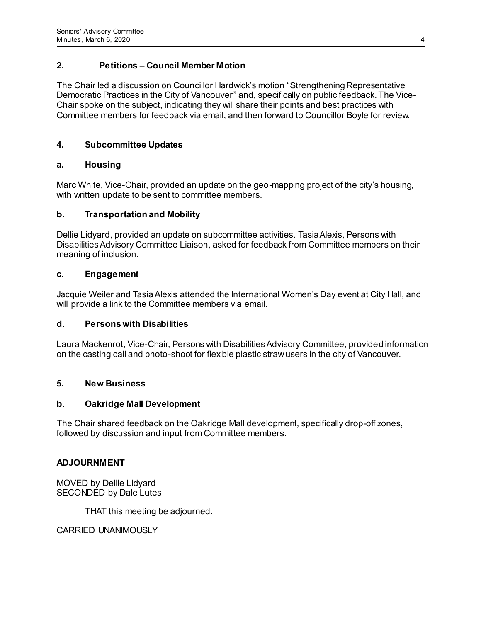## **2. Petitions – Council Member Motion**

The Chair led a discussion on Councillor Hardwick's motion "Strengthening Representative Democratic Practices in the City of Vancouver" and, specifically on public feedback. The Vice-Chair spoke on the subject, indicating they will share their points and best practices with Committee members for feedback via email, and then forward to Councillor Boyle for review.

## **4. Subcommittee Updates**

## **a. Housing**

Marc White, Vice-Chair, provided an update on the geo-mapping project of the city's housing, with written update to be sent to committee members.

## **b. Transportation and Mobility**

Dellie Lidyard, provided an update on subcommittee activities. Tasia Alexis, Persons with Disabilities Advisory Committee Liaison, asked for feedback from Committee members on their meaning of inclusion.

## **c. Engagement**

Jacquie Weiler and Tasia Alexis attended the International Women's Day event at City Hall, and will provide a link to the Committee members via email.

## **d. Persons with Disabilities**

Laura Mackenrot, Vice-Chair, Persons with Disabilities Advisory Committee, provided information on the casting call and photo-shoot for flexible plastic straw users in the city of Vancouver.

## **5. New Business**

## **b. Oakridge Mall Development**

The Chair shared feedback on the Oakridge Mall development, specifically drop-off zones, followed by discussion and input from Committee members.

## **ADJOURNMENT**

MOVED by Dellie Lidyard SECONDED by Dale Lutes

THAT this meeting be adjourned.

CARRIED UNANIMOUSLY